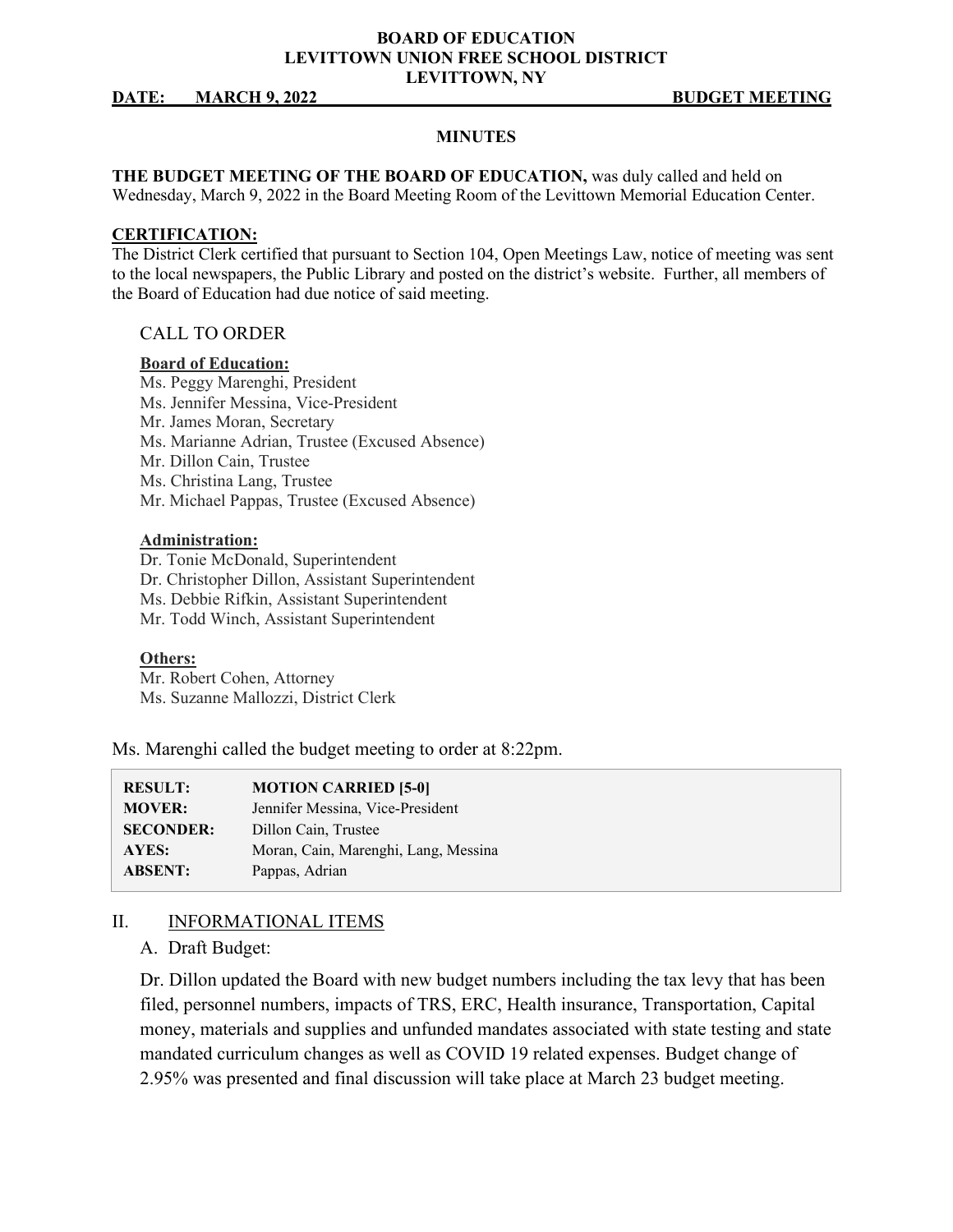## **BOARD OF EDUCATION LEVITTOWN UNION FREE SCHOOL DISTRICT LEVITTOWN, NY**

#### **DATE: MARCH 9, 2022 BUDGET MEETING**

#### **MINUTES**

**THE BUDGET MEETING OF THE BOARD OF EDUCATION,** was duly called and held on Wednesday, March 9, 2022 in the Board Meeting Room of the Levittown Memorial Education Center.

#### **CERTIFICATION:**

The District Clerk certified that pursuant to Section 104, Open Meetings Law, notice of meeting was sent to the local newspapers, the Public Library and posted on the district's website. Further, all members of the Board of Education had due notice of said meeting.

## CALL TO ORDER

#### **Board of Education:**

Ms. Peggy Marenghi, President Ms. Jennifer Messina, Vice-President Mr. James Moran, Secretary Ms. Marianne Adrian, Trustee (Excused Absence) Mr. Dillon Cain, Trustee Ms. Christina Lang, Trustee Mr. Michael Pappas, Trustee (Excused Absence)

#### **Administration:**

Dr. Tonie McDonald, Superintendent Dr. Christopher Dillon, Assistant Superintendent Ms. Debbie Rifkin, Assistant Superintendent Mr. Todd Winch, Assistant Superintendent

#### **Others:**

Mr. Robert Cohen, Attorney Ms. Suzanne Mallozzi, District Clerk

Ms. Marenghi called the budget meeting to order at 8:22pm.

| <b>RESULT:</b>   | <b>MOTION CARRIED [5-0]</b>          |
|------------------|--------------------------------------|
| <b>MOVER:</b>    | Jennifer Messina, Vice-President     |
| <b>SECONDER:</b> | Dillon Cain, Trustee                 |
| AYES:            | Moran, Cain, Marenghi, Lang, Messina |
| <b>ABSENT:</b>   | Pappas, Adrian                       |

## II. INFORMATIONAL ITEMS

## A. Draft Budget:

Dr. Dillon updated the Board with new budget numbers including the tax levy that has been filed, personnel numbers, impacts of TRS, ERC, Health insurance, Transportation, Capital money, materials and supplies and unfunded mandates associated with state testing and state mandated curriculum changes as well as COVID 19 related expenses. Budget change of 2.95% was presented and final discussion will take place at March 23 budget meeting.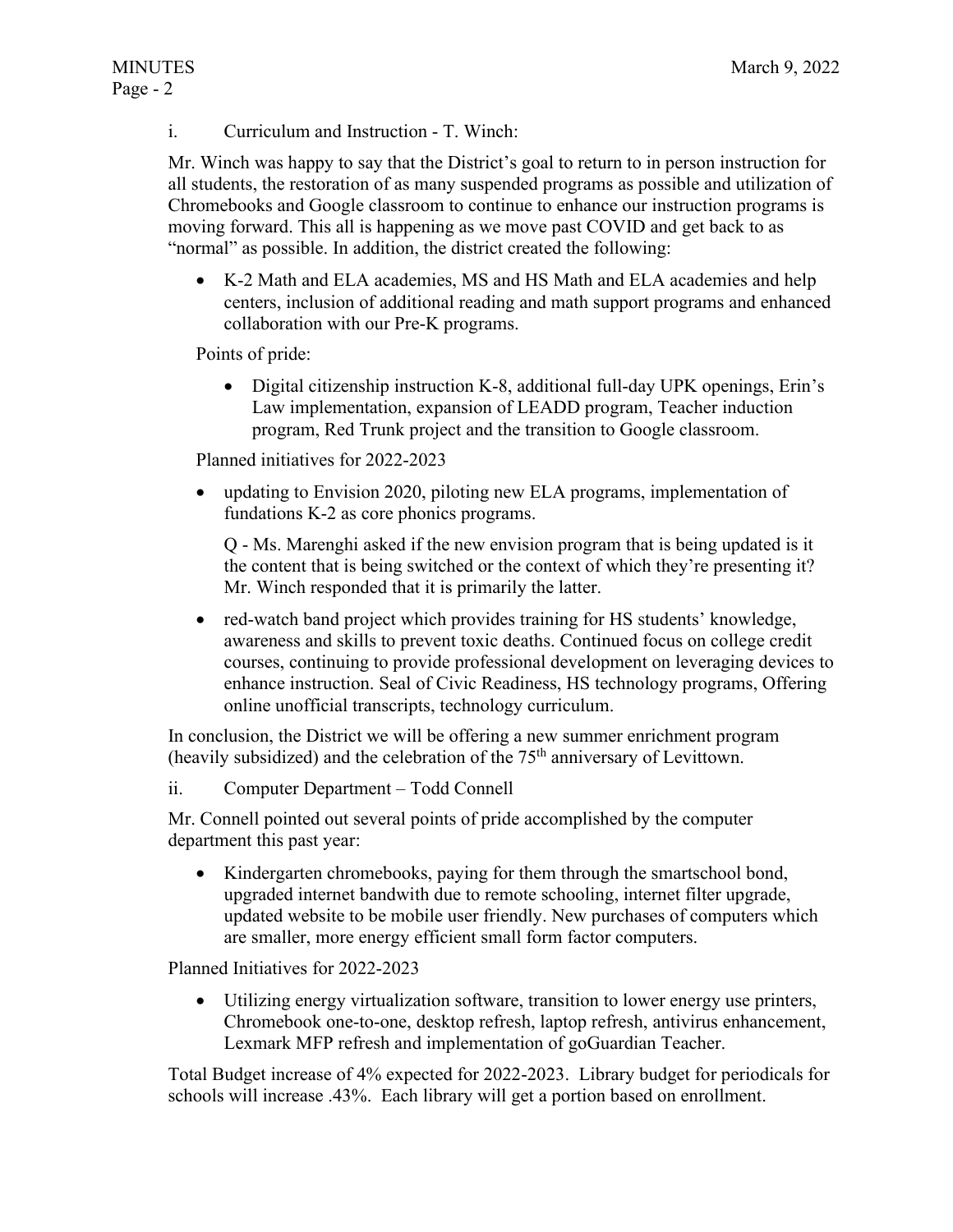i. Curriculum and Instruction - T. Winch:

Mr. Winch was happy to say that the District's goal to return to in person instruction for all students, the restoration of as many suspended programs as possible and utilization of Chromebooks and Google classroom to continue to enhance our instruction programs is moving forward. This all is happening as we move past COVID and get back to as "normal" as possible. In addition, the district created the following:

• K-2 Math and ELA academies, MS and HS Math and ELA academies and help centers, inclusion of additional reading and math support programs and enhanced collaboration with our Pre-K programs.

Points of pride:

• Digital citizenship instruction K-8, additional full-day UPK openings, Erin's Law implementation, expansion of LEADD program, Teacher induction program, Red Trunk project and the transition to Google classroom.

Planned initiatives for 2022-2023

• updating to Envision 2020, piloting new ELA programs, implementation of fundations K-2 as core phonics programs.

Q - Ms. Marenghi asked if the new envision program that is being updated is it the content that is being switched or the context of which they're presenting it? Mr. Winch responded that it is primarily the latter.

• red-watch band project which provides training for HS students' knowledge, awareness and skills to prevent toxic deaths. Continued focus on college credit courses, continuing to provide professional development on leveraging devices to enhance instruction. Seal of Civic Readiness, HS technology programs, Offering online unofficial transcripts, technology curriculum.

In conclusion, the District we will be offering a new summer enrichment program (heavily subsidized) and the celebration of the  $75<sup>th</sup>$  anniversary of Levittown.

ii. Computer Department – Todd Connell

Mr. Connell pointed out several points of pride accomplished by the computer department this past year:

• Kindergarten chromebooks, paying for them through the smartschool bond, upgraded internet bandwith due to remote schooling, internet filter upgrade, updated website to be mobile user friendly. New purchases of computers which are smaller, more energy efficient small form factor computers.

Planned Initiatives for 2022-2023

• Utilizing energy virtualization software, transition to lower energy use printers, Chromebook one-to-one, desktop refresh, laptop refresh, antivirus enhancement, Lexmark MFP refresh and implementation of goGuardian Teacher.

Total Budget increase of 4% expected for 2022-2023. Library budget for periodicals for schools will increase .43%. Each library will get a portion based on enrollment.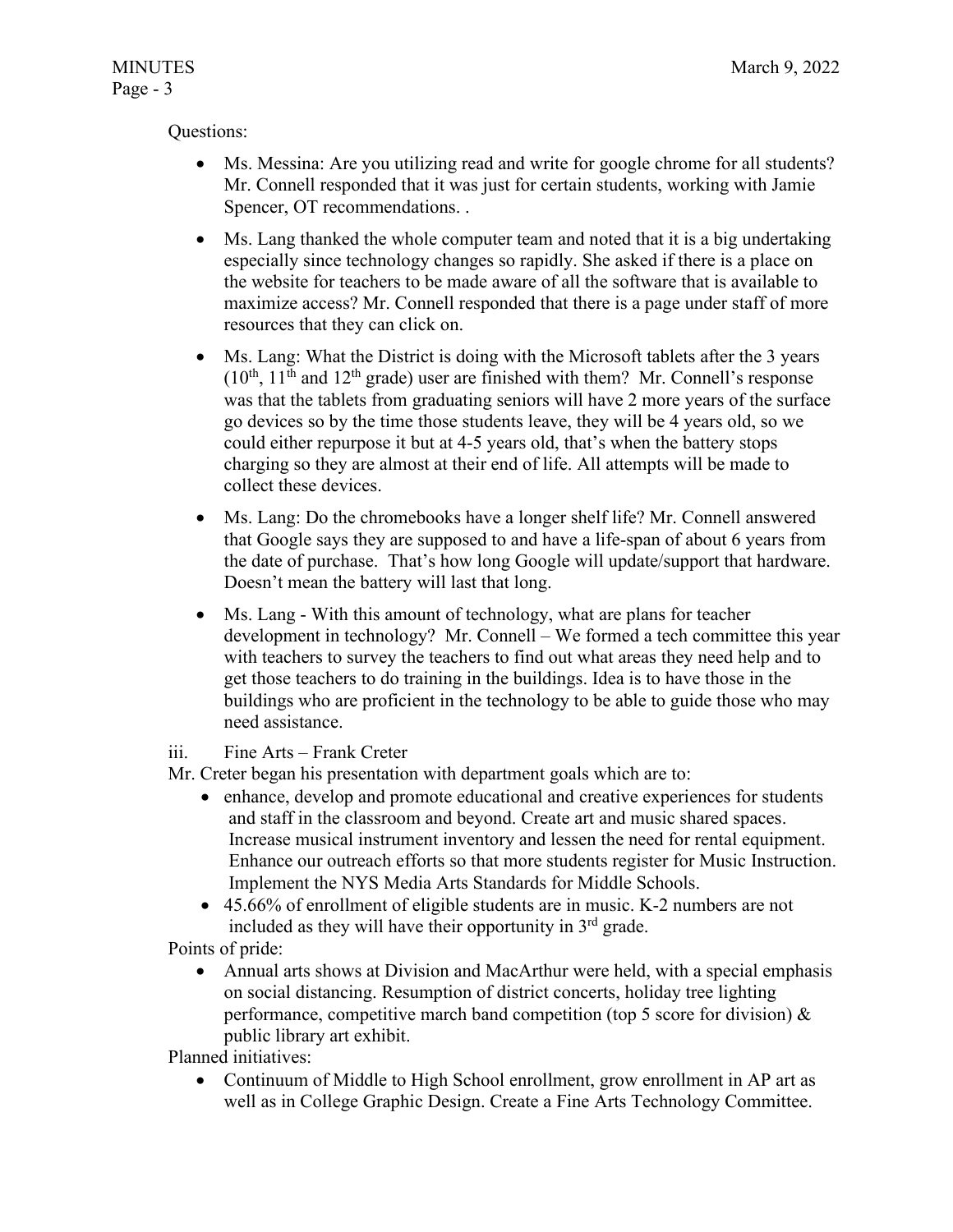# Questions:

- Ms. Messina: Are you utilizing read and write for google chrome for all students? Mr. Connell responded that it was just for certain students, working with Jamie Spencer, OT recommendations. .
- Ms. Lang thanked the whole computer team and noted that it is a big undertaking especially since technology changes so rapidly. She asked if there is a place on the website for teachers to be made aware of all the software that is available to maximize access? Mr. Connell responded that there is a page under staff of more resources that they can click on.
- Ms. Lang: What the District is doing with the Microsoft tablets after the 3 years  $(10^{th}, 11^{th}$  and  $12^{th}$  grade) user are finished with them? Mr. Connell's response was that the tablets from graduating seniors will have 2 more years of the surface go devices so by the time those students leave, they will be 4 years old, so we could either repurpose it but at 4-5 years old, that's when the battery stops charging so they are almost at their end of life. All attempts will be made to collect these devices.
- Ms. Lang: Do the chromebooks have a longer shelf life? Mr. Connell answered that Google says they are supposed to and have a life-span of about 6 years from the date of purchase. That's how long Google will update/support that hardware. Doesn't mean the battery will last that long.
- Ms. Lang With this amount of technology, what are plans for teacher development in technology? Mr. Connell – We formed a tech committee this year with teachers to survey the teachers to find out what areas they need help and to get those teachers to do training in the buildings. Idea is to have those in the buildings who are proficient in the technology to be able to guide those who may need assistance.
- iii. Fine Arts Frank Creter
- Mr. Creter began his presentation with department goals which are to:
	- enhance, develop and promote educational and creative experiences for students and staff in the classroom and beyond. Create art and music shared spaces. Increase musical instrument inventory and lessen the need for rental equipment. Enhance our outreach efforts so that more students register for Music Instruction. Implement the NYS Media Arts Standards for Middle Schools.
	- 45.66% of enrollment of eligible students are in music. K-2 numbers are not included as they will have their opportunity in  $3<sup>rd</sup>$  grade.

Points of pride:

• Annual arts shows at Division and MacArthur were held, with a special emphasis on social distancing. Resumption of district concerts, holiday tree lighting performance, competitive march band competition (top 5 score for division) & public library art exhibit.

Planned initiatives:

• Continuum of Middle to High School enrollment, grow enrollment in AP art as well as in College Graphic Design. Create a Fine Arts Technology Committee.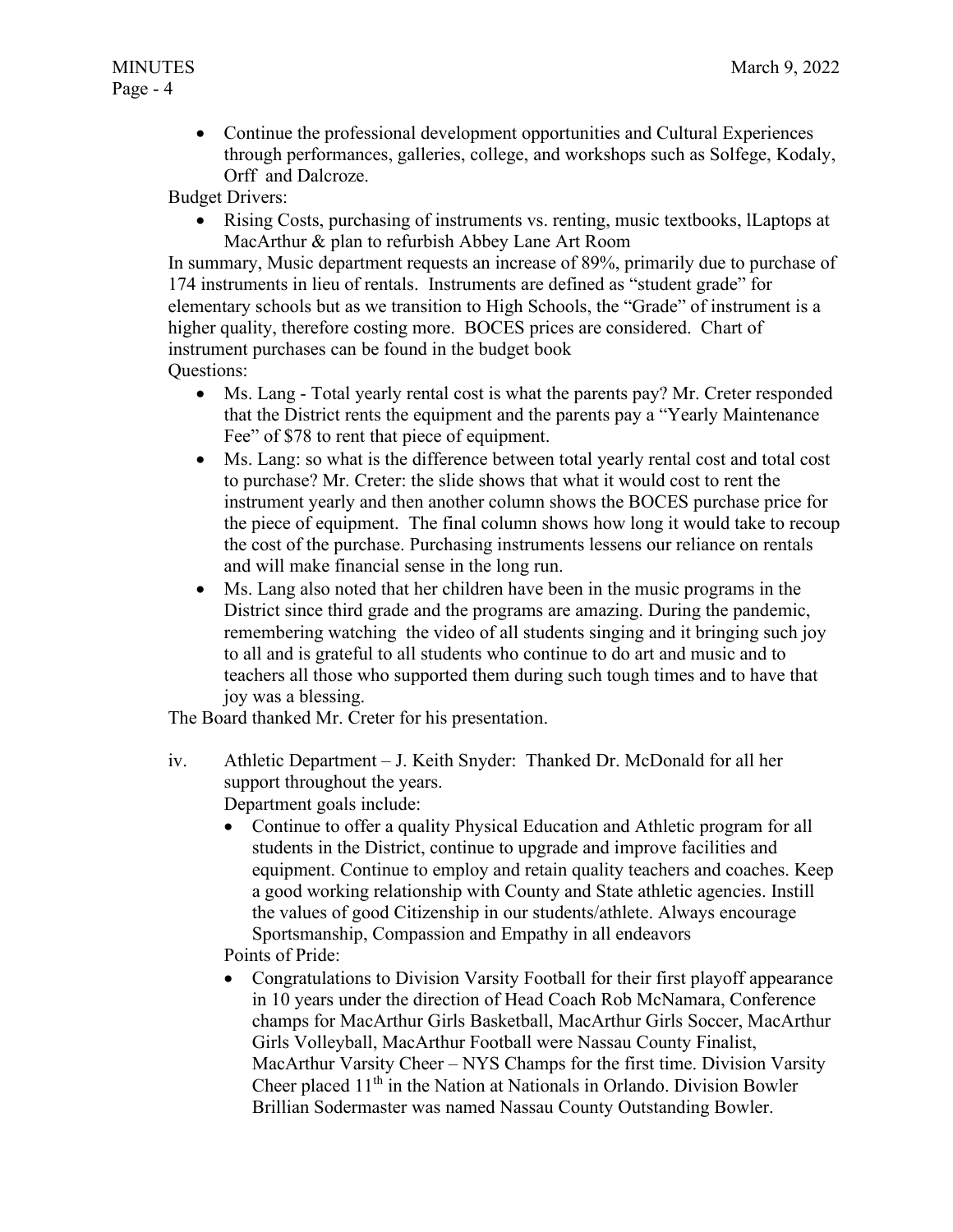• Continue the professional development opportunities and Cultural Experiences through performances, galleries, college, and workshops such as Solfege, Kodaly, Orff and Dalcroze.

Budget Drivers:

• Rising Costs, purchasing of instruments vs. renting, music textbooks, lLaptops at MacArthur & plan to refurbish Abbey Lane Art Room

In summary, Music department requests an increase of 89%, primarily due to purchase of 174 instruments in lieu of rentals. Instruments are defined as "student grade" for elementary schools but as we transition to High Schools, the "Grade" of instrument is a higher quality, therefore costing more. BOCES prices are considered. Chart of instrument purchases can be found in the budget book

- Questions:
	- Ms. Lang Total yearly rental cost is what the parents pay? Mr. Creter responded that the District rents the equipment and the parents pay a "Yearly Maintenance Fee" of \$78 to rent that piece of equipment.
	- Ms. Lang: so what is the difference between total yearly rental cost and total cost to purchase? Mr. Creter: the slide shows that what it would cost to rent the instrument yearly and then another column shows the BOCES purchase price for the piece of equipment. The final column shows how long it would take to recoup the cost of the purchase. Purchasing instruments lessens our reliance on rentals and will make financial sense in the long run.
	- Ms. Lang also noted that her children have been in the music programs in the District since third grade and the programs are amazing. During the pandemic, remembering watching the video of all students singing and it bringing such joy to all and is grateful to all students who continue to do art and music and to teachers all those who supported them during such tough times and to have that joy was a blessing.

The Board thanked Mr. Creter for his presentation.

- iv. Athletic Department J. Keith Snyder: Thanked Dr. McDonald for all her support throughout the years. Department goals include:
	- Continue to offer a quality Physical Education and Athletic program for all students in the District, continue to upgrade and improve facilities and equipment. Continue to employ and retain quality teachers and coaches. Keep a good working relationship with County and State athletic agencies. Instill the values of good Citizenship in our students/athlete. Always encourage Sportsmanship, Compassion and Empathy in all endeavors

Points of Pride:

• Congratulations to Division Varsity Football for their first playoff appearance in 10 years under the direction of Head Coach Rob McNamara, Conference champs for MacArthur Girls Basketball, MacArthur Girls Soccer, MacArthur Girls Volleyball, MacArthur Football were Nassau County Finalist, MacArthur Varsity Cheer – NYS Champs for the first time. Division Varsity Cheer placed  $11<sup>th</sup>$  in the Nation at Nationals in Orlando. Division Bowler Brillian Sodermaster was named Nassau County Outstanding Bowler.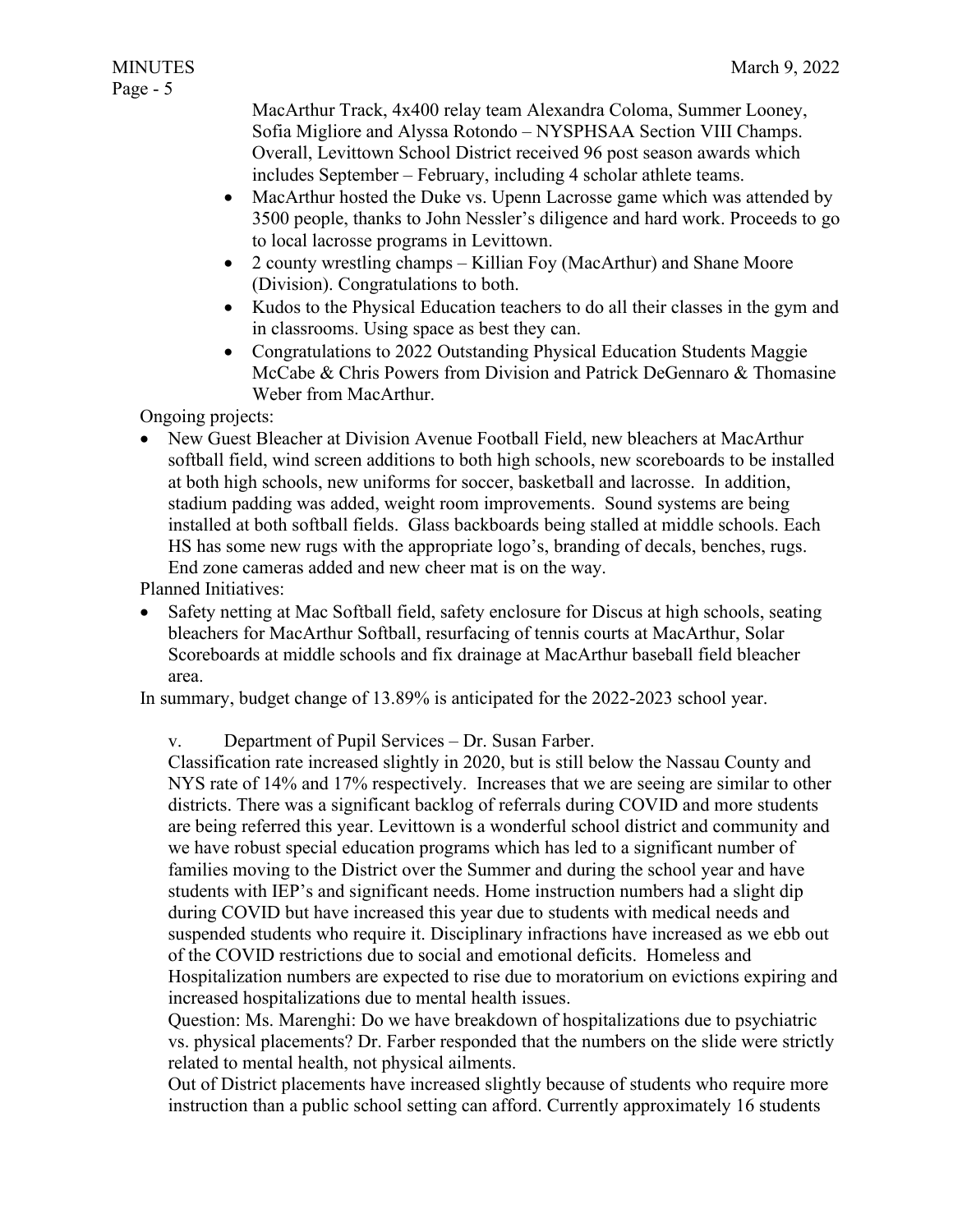MacArthur Track, 4x400 relay team Alexandra Coloma, Summer Looney, Sofia Migliore and Alyssa Rotondo – NYSPHSAA Section VIII Champs. Overall, Levittown School District received 96 post season awards which includes September – February, including 4 scholar athlete teams.

- MacArthur hosted the Duke vs. Upenn Lacrosse game which was attended by 3500 people, thanks to John Nessler's diligence and hard work. Proceeds to go to local lacrosse programs in Levittown.
- 2 county wrestling champs Killian Foy (MacArthur) and Shane Moore (Division). Congratulations to both.
- Kudos to the Physical Education teachers to do all their classes in the gym and in classrooms. Using space as best they can.
- Congratulations to 2022 Outstanding Physical Education Students Maggie McCabe & Chris Powers from Division and Patrick DeGennaro & Thomasine Weber from MacArthur.

Ongoing projects:

• New Guest Bleacher at Division Avenue Football Field, new bleachers at MacArthur softball field, wind screen additions to both high schools, new scoreboards to be installed at both high schools, new uniforms for soccer, basketball and lacrosse. In addition, stadium padding was added, weight room improvements. Sound systems are being installed at both softball fields. Glass backboards being stalled at middle schools. Each HS has some new rugs with the appropriate logo's, branding of decals, benches, rugs. End zone cameras added and new cheer mat is on the way.

Planned Initiatives:

• Safety netting at Mac Softball field, safety enclosure for Discus at high schools, seating bleachers for MacArthur Softball, resurfacing of tennis courts at MacArthur, Solar Scoreboards at middle schools and fix drainage at MacArthur baseball field bleacher area.

In summary, budget change of 13.89% is anticipated for the 2022-2023 school year.

v. Department of Pupil Services – Dr. Susan Farber.

Classification rate increased slightly in 2020, but is still below the Nassau County and NYS rate of 14% and 17% respectively. Increases that we are seeing are similar to other districts. There was a significant backlog of referrals during COVID and more students are being referred this year. Levittown is a wonderful school district and community and we have robust special education programs which has led to a significant number of families moving to the District over the Summer and during the school year and have students with IEP's and significant needs. Home instruction numbers had a slight dip during COVID but have increased this year due to students with medical needs and suspended students who require it. Disciplinary infractions have increased as we ebb out of the COVID restrictions due to social and emotional deficits. Homeless and Hospitalization numbers are expected to rise due to moratorium on evictions expiring and increased hospitalizations due to mental health issues.

Question: Ms. Marenghi: Do we have breakdown of hospitalizations due to psychiatric vs. physical placements? Dr. Farber responded that the numbers on the slide were strictly related to mental health, not physical ailments.

Out of District placements have increased slightly because of students who require more instruction than a public school setting can afford. Currently approximately 16 students